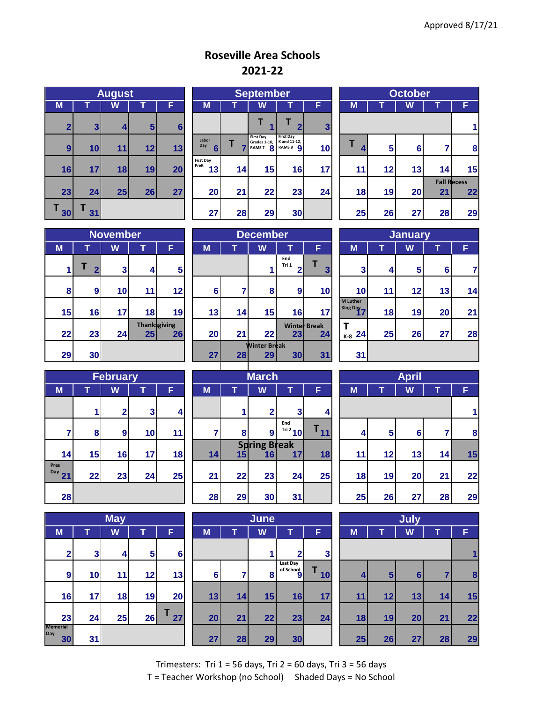## **Roseville Area Schools 2021-22**

| <b>August</b>  |         |    |    |    |  |  |  |  |  |  |  |
|----------------|---------|----|----|----|--|--|--|--|--|--|--|
| M              |         | W  |    | F  |  |  |  |  |  |  |  |
| $\overline{2}$ | 3       | 4  | 5  | 6  |  |  |  |  |  |  |  |
| 9              | 10      | 11 | 12 | 13 |  |  |  |  |  |  |  |
| 16             | 17      | 18 | 19 | 20 |  |  |  |  |  |  |  |
| 23             | 24      | 25 | 26 | 27 |  |  |  |  |  |  |  |
| Т<br>30        | Т<br>31 |    |    |    |  |  |  |  |  |  |  |

|                         |                 | <b>August</b> |                |                 |                                  | <b>September</b> |                                              |                                                       |              |  | October |    |    |                    |    |  |
|-------------------------|-----------------|---------------|----------------|-----------------|----------------------------------|------------------|----------------------------------------------|-------------------------------------------------------|--------------|--|---------|----|----|--------------------|----|--|
| $\overline{\mathsf{M}}$ |                 | W             |                | F               | M                                | M<br>W<br>F<br>W |                                              |                                                       |              |  |         |    | F  |                    |    |  |
| $\overline{2}$          | $\mathbf{3}$    | 4             | 5 <sup>1</sup> | 6               |                                  |                  |                                              | $\overline{\phantom{a}}$                              | $\mathbf{3}$ |  |         |    |    |                    |    |  |
| $\boldsymbol{9}$        | 10 <sub>l</sub> | 11            | 12             | 13              | Labor<br>Day<br>$6 \overline{6}$ |                  | <b>First Day</b><br>Grades 1-10,<br>RAMS 7 8 | <b>First Day</b><br>K and 11-12,<br>RAMS <sub>8</sub> | 10           |  | 4       | 5  | 6  |                    | 8  |  |
| 16                      | 17              | 18            | 19             | 20 <sub>l</sub> | <b>First Day</b><br>PreK<br>13   | 14               | 15                                           | 16                                                    | 17           |  | 11      | 12 | 13 | 14                 | 15 |  |
|                         |                 |               |                |                 |                                  |                  |                                              |                                                       |              |  |         |    |    | <b>Fall Recess</b> |    |  |
| 23                      | 24              | 25            | 26             | 27              | 20                               | 21               | 22                                           | 23                                                    | 24           |  | 18      | 19 | 20 | 21                 | 22 |  |
| 30                      | 31              |               |                |                 | 27                               | 28               | 29                                           | 30                                                    |              |  | 25      | 26 | 27 | 28                 | 29 |  |

| <b>October</b> |             |    |    |                          |  |  |  |  |  |  |  |  |  |
|----------------|-------------|----|----|--------------------------|--|--|--|--|--|--|--|--|--|
| M              |             |    |    |                          |  |  |  |  |  |  |  |  |  |
|                |             |    |    |                          |  |  |  |  |  |  |  |  |  |
| Τ<br>4         | 5<br>6<br>7 |    |    |                          |  |  |  |  |  |  |  |  |  |
| 11             | 12          | 13 | 14 | 15                       |  |  |  |  |  |  |  |  |  |
| 18             | 19          | 20 | 21 | <b>Fall Recess</b><br>22 |  |  |  |  |  |  |  |  |  |
| 25             | 26          | 27 | 28 | 29                       |  |  |  |  |  |  |  |  |  |

|    | <b>November</b>     |    |                            |    |  |  |  |  |  |  |  |  |  |
|----|---------------------|----|----------------------------|----|--|--|--|--|--|--|--|--|--|
| M  | W<br>т<br>F         |    |                            |    |  |  |  |  |  |  |  |  |  |
| 1  | Τ<br>$\overline{2}$ | 3  | 4                          | 5  |  |  |  |  |  |  |  |  |  |
| 8  | 9                   | 10 | 11                         | 12 |  |  |  |  |  |  |  |  |  |
| 15 | 16                  | 17 | 18                         | 19 |  |  |  |  |  |  |  |  |  |
| 22 | 23                  | 24 | <b>Thank</b> sgiving<br>25 | 26 |  |  |  |  |  |  |  |  |  |
| 29 | 30                  |    |                            |    |  |  |  |  |  |  |  |  |  |

|    |                  | <b>November</b> |                 |                           |                 | <b>December</b> |                     |              |                           |  |                             | <b>January</b> |    |    |    |  |
|----|------------------|-----------------|-----------------|---------------------------|-----------------|-----------------|---------------------|--------------|---------------------------|--|-----------------------------|----------------|----|----|----|--|
| M  |                  | W               |                 | F                         | M               |                 | W                   |              | F                         |  | M                           |                | W  |    | F  |  |
|    | ◠                | 3               | 4               | 5                         |                 |                 |                     | End<br>Tri 1 | 3                         |  | 3                           | 4              | 5  | 6  |    |  |
| 8  | $\boldsymbol{9}$ | 10 <sub>l</sub> | 11              | 12                        | 6               |                 | 8                   | 9            | 10                        |  | 10 <sup>1</sup>             | 11             | 12 | 13 | 14 |  |
| 15 | 16               | 17 <sub>l</sub> | 18              | 19                        | 13              | 14              | 15                  | 16           | 17                        |  | <b>M</b> Luther<br>King Day | 18             | 19 | 20 | 21 |  |
| 22 | 23               | 24              | 25 <sub>1</sub> | <b>Thanksgiving</b><br>26 | 20              | 21              | 22                  | 23           | <b>Winter Break</b><br>24 |  | $\frac{1}{16-8}$ 241        | 25             | 26 | 27 | 28 |  |
|    |                  |                 |                 |                           |                 |                 | <b>Winter Break</b> |              |                           |  |                             |                |    |    |    |  |
| 29 | 30               |                 |                 |                           | 27 <sub>l</sub> | 28              | 29                  | 30           | 31                        |  | 31                          |                |    |    |    |  |

| <b>January</b>                           |    |    |    |    |  |  |  |  |  |  |  |  |
|------------------------------------------|----|----|----|----|--|--|--|--|--|--|--|--|
| M                                        |    | F  |    |    |  |  |  |  |  |  |  |  |
| 3                                        | 4  | 5  | 6  | 7  |  |  |  |  |  |  |  |  |
| 10                                       | 11 | 12 | 13 | 14 |  |  |  |  |  |  |  |  |
| <b>M</b> Luther<br><b>King Day</b><br>17 | 18 | 19 | 20 | 21 |  |  |  |  |  |  |  |  |
| Τ<br>$K-8$ 24                            | 25 | 26 | 27 | 28 |  |  |  |  |  |  |  |  |
| 31                                       |    |    |    |    |  |  |  |  |  |  |  |  |

|                          | <b>February</b> |                         |    |    |  |  |  |  |  |  |  |  |  |
|--------------------------|-----------------|-------------------------|----|----|--|--|--|--|--|--|--|--|--|
| M                        | T               | W<br>F<br>т             |    |    |  |  |  |  |  |  |  |  |  |
|                          | 1               | $\overline{\mathbf{2}}$ | 3  | 4  |  |  |  |  |  |  |  |  |  |
| 7                        | 8               | $\boldsymbol{9}$        | 10 | 11 |  |  |  |  |  |  |  |  |  |
| 14                       | 15              | 16                      | 17 | 18 |  |  |  |  |  |  |  |  |  |
| <b>Pres</b><br>Day<br>21 | 22              | 23                      | 24 | 25 |  |  |  |  |  |  |  |  |  |
| 28                       |                 |                         |    |    |  |  |  |  |  |  |  |  |  |

|                              | <b>May</b> |    |    |    |  |  |  |  |  |  |  |  |  |
|------------------------------|------------|----|----|----|--|--|--|--|--|--|--|--|--|
| M                            | т          | W  | T  | F  |  |  |  |  |  |  |  |  |  |
| $\overline{\mathbf{2}}$      | 3          | 4  | 5  | 6  |  |  |  |  |  |  |  |  |  |
| 9                            | 10         | 11 | 12 | 13 |  |  |  |  |  |  |  |  |  |
| 16                           | 17         | 18 | 19 | 20 |  |  |  |  |  |  |  |  |  |
| 23                           | 24         | 25 | 26 | 27 |  |  |  |  |  |  |  |  |  |
| <b>Memorial</b><br>Day<br>30 | 31         |    |    |    |  |  |  |  |  |  |  |  |  |

|                            |    | <b>February</b> |                |    |    |                 | <b>March</b>                           |                   |                   |    |    | <b>April</b> |    |   |
|----------------------------|----|-----------------|----------------|----|----|-----------------|----------------------------------------|-------------------|-------------------|----|----|--------------|----|---|
| M                          |    | W               |                | F  | M  | T               | W                                      | T                 | F                 | M  |    | W            |    | F |
|                            |    | 2 <sub>l</sub>  | 3 <sup>1</sup> | 4  |    |                 | ົ                                      | $\mathbf{3}$      | $\overline{4}$    |    |    |              |    |   |
| 7                          | 8  | 9               | 10             | 11 |    | 8               | $\boldsymbol{9}$                       | End<br>$Tri^2$ 10 | $\mathbf{I}_{11}$ | 4  | 5  | $6 \mid$     |    |   |
| 14                         | 15 | 16              | 17             | 18 | 14 | 15 <sub>l</sub> | <b>Spring Break</b><br>16 <sup>l</sup> | 17                | 18                | 11 | 12 | 13           | 14 |   |
| es<br>$^{\prime\prime}$ 21 | 22 | 23              | 24             | 25 | 21 | 22              | 23                                     | 24                | 25                | 18 | 19 | 20           | 21 |   |
| 28                         |    |                 |                |    | 28 | 29              | 30                                     | 31                |                   | 25 | 26 | 27           | 28 |   |

|              |                 | <b>May</b> |                |        | June           |    |    |                            |              |  | July   |                |                  |    |    |
|--------------|-----------------|------------|----------------|--------|----------------|----|----|----------------------------|--------------|--|--------|----------------|------------------|----|----|
| M            |                 | W          |                | F      | M              |    | W  |                            | F            |  | M<br>W |                |                  | F  |    |
| $\mathbf{2}$ | $\mathbf{3}$    | 4          | 5 <sup>5</sup> | $6 \,$ |                |    |    | $\overline{2}$             | $\mathbf{3}$ |  |        |                |                  |    |    |
| 9            | 10              | 11         | 12             | 13     | $6\phantom{1}$ |    | 8  | Last Day<br>of School<br>9 | 10           |  | 4      | 5 <sup>1</sup> | $6 \overline{6}$ |    | 8  |
| 16           | 17 <sub>l</sub> | 18         | 19             | 20     | 13             | 14 | 15 | 16                         | 17           |  | 11     | 12             | 13               | 14 | 15 |
| 23           | 24              | 25         | 26             | 27     | 20             | 21 | 22 | 23                         | 24           |  | 18     | 19             | 20               | 21 | 22 |
| norial<br>30 | 31              |            |                |        | 27             | 28 | 29 | 30 <sub>1</sub>            |              |  | 25     | 26             | 27               | 28 | 29 |

|    | February |                  |                 |                  |    |                 | <b>March</b>              |                         |    | <b>April</b> |        |        |    |    |
|----|----------|------------------|-----------------|------------------|----|-----------------|---------------------------|-------------------------|----|--------------|--------|--------|----|----|
|    |          | W                |                 | F,               | M  |                 | W                         |                         | F. | <b>M</b>     | W      |        |    | F  |
|    |          | $\mathbf{z}$     | 3 <sub>l</sub>  | $\boldsymbol{4}$ |    |                 | っ                         | 3                       | 4  |              |        |        |    |    |
| 7  | 8        | $\boldsymbol{9}$ | 10              | 11               |    | 8               | 9                         | End<br>$\frac{1}{2}$ 10 | 11 |              | 5<br>4 | $6 \,$ |    | 8  |
| 14 | 15       | 16               | 17 <sub>1</sub> | 18               | 14 | 15 <sub>l</sub> | <b>Spring Break</b><br>16 | 17 <sup>1</sup>         | 18 | 11           | 12     | 13     | 14 | 15 |
| 21 | 22       | 23               | 24              | 25               | 21 | 22              | 23                        | 24                      | 25 | 18           | 19     | 20     | 21 | 22 |
| 28 |          |                  |                 |                  | 28 | 29              | 30                        | 31                      |    | 25           | 26     | 27     | 28 | 29 |

|    | July |                 |    |    |  |  |  |  |  |  |  |  |  |
|----|------|-----------------|----|----|--|--|--|--|--|--|--|--|--|
| M  | т    | W               | т  | F  |  |  |  |  |  |  |  |  |  |
|    |      |                 |    |    |  |  |  |  |  |  |  |  |  |
| 4  | 5    | $6\phantom{1}6$ | 7  | 8  |  |  |  |  |  |  |  |  |  |
| 11 | 12   | 13              | 14 | 15 |  |  |  |  |  |  |  |  |  |
| 18 | 19   | 20              | 21 | 22 |  |  |  |  |  |  |  |  |  |
| 25 | 26   | 27              | 28 | 29 |  |  |  |  |  |  |  |  |  |

Trimesters: Tri  $1 = 56$  days, Tri  $2 = 60$  days, Tri  $3 = 56$  days T = Teacher Workshop (no School) Shaded Days = No School